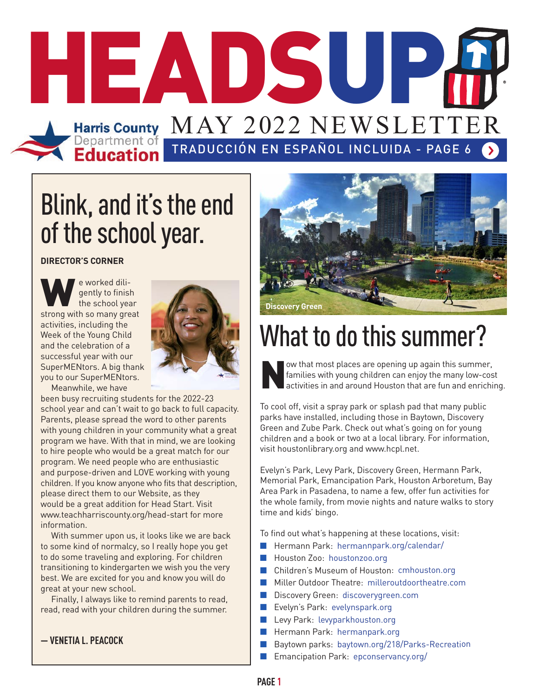

# Blink, and it's the end of the school year.

**DIRECTOR'S CORNER**

We worked dili-<br>the school year<br>strong with so many great gently to finish the school year activities, including the Week of the Young Child and the celebration of a successful year with our SuperMENtors. A big thank you to our SuperMENtors.



Meanwhile, we have

been busy recruiting students for the 2022-23 school year and can't wait to go back to full capacity. Parents, please spread the word to other parents with young children in your community what a great program we have. With that in mind, we are looking to hire people who would be a great match for our program. We need people who are enthusiastic and purpose-driven and LOVE working with young children. If you know anyone who fits that description, please direct them to our Website, as they would be a great addition for Head Start. Visit www.teachharriscounty.org/head-start for more information.

 With summer upon us, it looks like we are back to some kind of normalcy, so I really hope you get to do some traveling and exploring. For children transitioning to kindergarten we wish you the very best. We are excited for you and know you will do great at your new school.

 Finally, I always like to remind parents to read, read, read with your children during the summer.

**— VENETIA L. PEACOCK**



# What to do this summer?

ow that most places are opening up again this summer,<br>families with young children can enjoy the many low-co:<br>activities in and around Houston that are fun and enrich families with young children can enjoy the many low-cost activities in and around Houston that are fun and enriching.

To cool off, visit a spray park or splash pad that many public parks have installed, including those in Baytown, Discovery Green and Zube Park. Check out what's going on for young children and a book or two at a local library. For information, visit houstonlibrary.org and www.hcpl.net.

Evelyn's Park, Levy Park, Discovery Green, Hermann Park, Memorial Park, Emancipation Park, Houston Arboretum, Bay Area Park in Pasadena, to name a few, offer fun activities for the whole family, from movie nights and nature walks to story time and kids' bingo.

To find out what's happening at these locations, visit:

- Hermann Park: hermannpark.org/calendar/
- **n** Houston Zoo: houstonzoo.org
- n Children's Museum of Houston: cmhouston.org
- **n** Miller Outdoor Theatre: milleroutdoortheatre.com
- nDiscovery Green: discoverygreen.com
- $\blacksquare$  Evelyn's Park: evelynspark.org
- nLevy Park: levyparkhouston.org
- $\blacksquare$  Hermann Park: hermanpark.org
- Baytown parks: baytown.org/218/Parks-Recreation
- **n** Emancipation Park: epconservancy.org/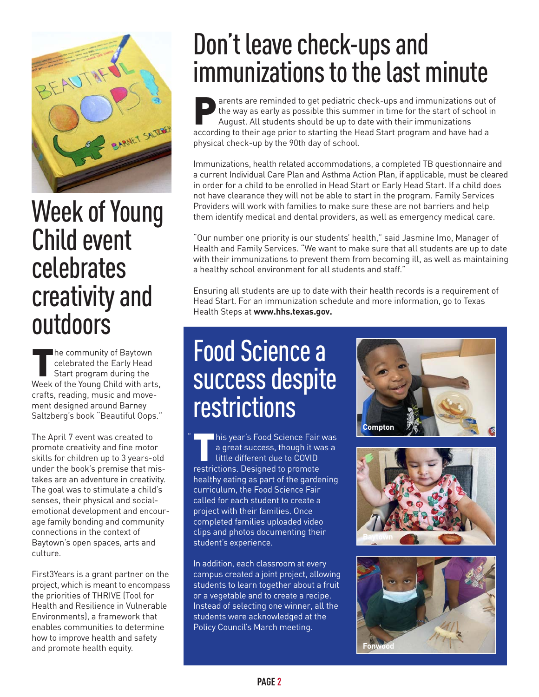

## Week of Young Child event celebrates creativity and outdoors

The community of Baytown<br>
celebrated the Early Head<br>
Start program during the<br>
Week of the Young Child with an celebrated the Early Head Start program during the Week of the Young Child with arts, crafts, reading, music and movement designed around Barney Saltzberg's book "Beautiful Oops."

The April 7 event was created to promote creativity and fine motor skills for children up to 3 years-old under the book's premise that mistakes are an adventure in creativity. The goal was to stimulate a child's senses, their physical and socialemotional development and encourage family bonding and community connections in the context of Baytown's open spaces, arts and culture.

First3Years is a grant partner on the project, which is meant to encompass the priorities of THRIVE (Tool for Health and Resilience in Vulnerable Environments), a framework that enables communities to determine how to improve health and safety and promote health equity.

# Don't leave check-ups and immunizations to the last minute

Parents are reminded to get pediatric check-ups and immunizations out of<br>the way as early as possible this summer in time for the start of school in<br>August. All students should be up to date with their immunizations<br>accord the way as early as possible this summer in time for the start of school in August. All students should be up to date with their immunizations according to their age prior to starting the Head Start program and have had a physical check-up by the 90th day of school.

Immunizations, health related accommodations, a completed TB questionnaire and a current Individual Care Plan and Asthma Action Plan, if applicable, must be cleared in order for a child to be enrolled in Head Start or Early Head Start. If a child does not have clearance they will not be able to start in the program. Family Services Providers will work with families to make sure these are not barriers and help them identify medical and dental providers, as well as emergency medical care.

"Our number one priority is our students' health," said Jasmine Imo, Manager of Health and Family Services. "We want to make sure that all students are up to date with their immunizations to prevent them from becoming ill, as well as maintaining a healthy school environment for all students and staff."

Ensuring all students are up to date with their health records is a requirement of Head Start. For an immunization schedule and more information, go to Texas Health Steps at **www.hhs.texas.gov.**

# Food Science a success despite restrictions

This year's Food Science Fair was<br>a great success, though it was a<br>little different due to COVID<br>restrictions. Designed to promote a great success, though it was a little different due to COVID restrictions. Designed to promote healthy eating as part of the gardening curriculum, the Food Science Fair called for each student to create a project with their families. Once completed families uploaded video clips and photos documenting their student's experience.

"

In addition, each classroom at every campus created a joint project, allowing students to learn together about a fruit or a vegetable and to create a recipe. Instead of selecting one winner, all the students were acknowledged at the Policy Council's March meeting.





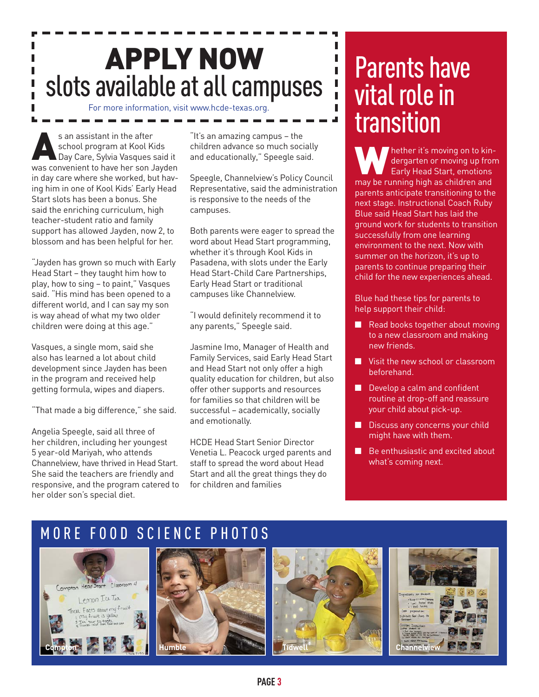# APPLY NOW slots available at all campuses

For more information, visit www.hcde-texas.org.

s an assistant in the after<br>school program at Kool K<br>Day Care, Sylvia Vasques<br>was convenient to have her son school program at Kool Kids Day Care, Sylvia Vasques said it was convenient to have her son Jayden in day care where she worked, but having him in one of Kool Kids' Early Head Start slots has been a bonus. She said the enriching curriculum, high teacher-student ratio and family support has allowed Jayden, now 2, to blossom and has been helpful for her.

"Jayden has grown so much with Early Head Start – they taught him how to play, how to sing – to paint," Vasques said. "His mind has been opened to a different world, and I can say my son is way ahead of what my two older children were doing at this age."

Vasques, a single mom, said she also has learned a lot about child development since Jayden has been in the program and received help getting formula, wipes and diapers.

"That made a big difference," she said.

Angelia Speegle, said all three of her children, including her youngest 5 year-old Mariyah, who attends Channelview, have thrived in Head Start. She said the teachers are friendly and responsive, and the program catered to her older son's special diet.

"It's an amazing campus – the children advance so much socially and educationally," Speegle said.

Speegle, Channelview's Policy Council Representative, said the administration is responsive to the needs of the campuses.

Both parents were eager to spread the word about Head Start programming, whether it's through Kool Kids in Pasadena, with slots under the Early Head Start-Child Care Partnerships, Early Head Start or traditional campuses like Channelview.

"I would definitely recommend it to any parents," Speegle said.

Jasmine Imo, Manager of Health and Family Services, said Early Head Start and Head Start not only offer a high quality education for children, but also offer other supports and resources for families so that children will be successful – academically, socially and emotionally.

HCDE Head Start Senior Director Venetia L. Peacock urged parents and staff to spread the word about Head Start and all the great things they do for children and families

## Parents have vital role in transition

П

Ī.

**Whether it's moving on to kin-**<br>dergarten or moving up fron<br>may be running high as children and dergarten or moving up from Early Head Start, emotions parents anticipate transitioning to the next stage. Instructional Coach Ruby Blue said Head Start has laid the ground work for students to transition successfully from one learning environment to the next. Now with summer on the horizon, it's up to parents to continue preparing their child for the new experiences ahead.

Blue had these tips for parents to help support their child:

- Read books together about moving to a new classroom and making new friends.
- $\blacksquare$  Visit the new school or classroom beforehand.
- $\blacksquare$  Develop a calm and confident routine at drop-off and reassure your child about pick-up.
- $\blacksquare$  Discuss any concerns your child might have with them.
- $\blacksquare$  Be enthusiastic and excited about what's coming next.







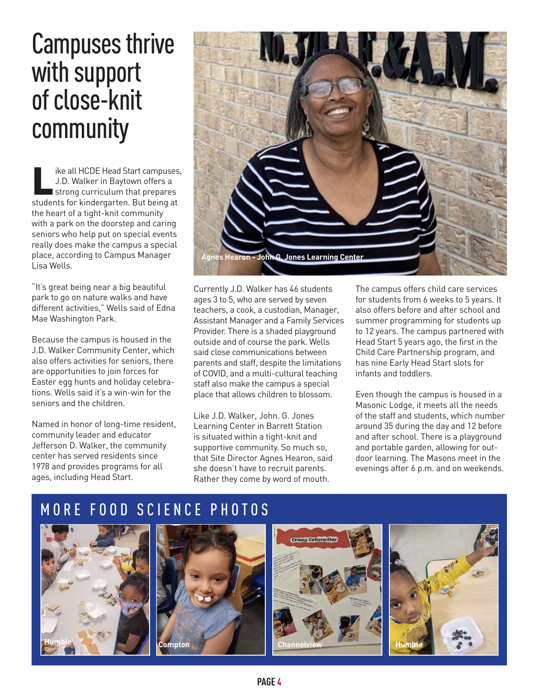### Campuses thrive with support of close-knit community

Ike all HCDE Head Start campuses,<br>J.D. Walker in Baytown offers a<br>strong curriculum that prepares<br>students for kindergarten But being at J.D. Walker in Baytown offers a strong curriculum that prepares students for kindergarten. But being at the heart of a tight-knit community with a park on the doorstep and caring seniors who help put on special events really does make the campus a special place, according to Campus Manager Lisa Wells.

"It's great being near a big beautiful park to go on nature walks and have different activities," Wells said of Edna Mae Washington Park.

Because the campus is housed in the J.D. Walker Community Center, which also offers activities for seniors, there are opportunities to join forces for Easter egg hunts and holiday celebrations. Wells said it's a win-win for the seniors and the children.

Named in honor of long-time resident, community leader and educator Jefferson D. Walker, the community center has served residents since 1978 and provides programs for all ages, including Head Start.



Currently J.D. Walker has 46 students ages 3 to 5, who are served by seven teachers, a cook, a custodian, Manager, Assistant Manager and a Family Services Provider. There is a shaded playground outside and of course the park. Wells said close communications between parents and staff, despite the limitations of COVID, and a multi-cultural teaching staff also make the campus a special place that allows children to blossom.

Like J.D. Walker, John. G. Jones Learning Center in Barrett Station is situated within a tight-knit and supportive community. So much so, that Site Director Agnes Hearon, said she doesn't have to recruit parents. Rather they come by word of mouth.

The campus offers child care services for students from 6 weeks to 5 years. It also offers before and after school and summer programming for students up to 12 years. The campus partnered with Head Start 5 years ago, the first in the Child Care Partnership program, and has nine Early Head Start slots for infants and toddlers.

Even though the campus is housed in a Masonic Lodge, it meets all the needs of the staff and students, which number around 35 during the day and 12 before and after school. There is a playground and portable garden, allowing for outdoor learning. The Masons meet in the evenings after 6 p.m. and on weekends.







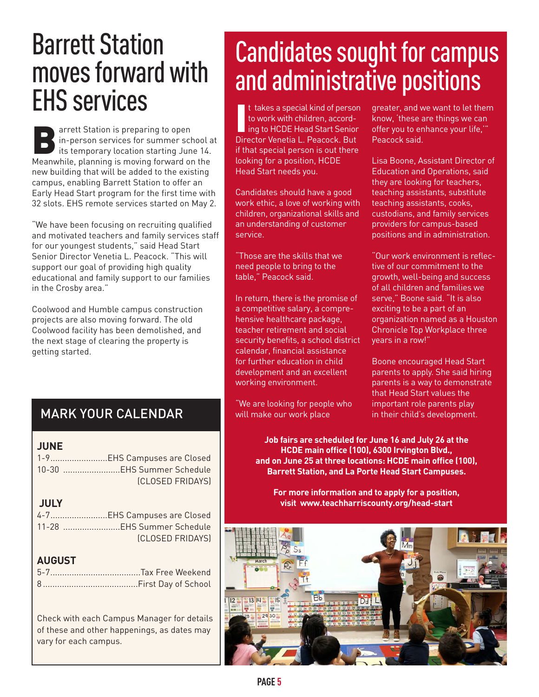# Barrett Station moves forward with EHS services

Barrett Station is preparing to open<br>in-person services for summer schitters its temporary location starting Jun<br>Meanwhile, planning is moving forward of in-person services for summer school at its temporary location starting June 14. Meanwhile, planning is moving forward on the new building that will be added to the existing campus, enabling Barrett Station to offer an Early Head Start program for the first time with 32 slots. EHS remote services started on May 2.

"We have been focusing on recruiting qualified and motivated teachers and family services staff for our youngest students," said Head Start Senior Director Venetia L. Peacock. "This will support our goal of providing high quality educational and family support to our families in the Crosby area."

Coolwood and Humble campus construction projects are also moving forward. The old Coolwood facility has been demolished, and the next stage of clearing the property is getting started.

### MARK YOUR CALENDAR

#### **JUNE**

| 1-9EHS Campuses are Closed |
|----------------------------|
| 10-30 EHS Summer Schedule  |
| <b>(CLOSED FRIDAYS)</b>    |

### **JULY**

| 4-7EHS Campuses are Closed |
|----------------------------|
| 11-28 EHS Summer Schedule  |
| (CLOSED FRIDAYS)           |

#### **AUGUST**

Check with each Campus Manager for details of these and other happenings, as dates may vary for each campus.

# Candidates sought for campus and administrative positions

It takes a special kind of perso<br>to work with children, accord-<br>ing to HCDE Head Start Senior<br>Director Venetia L. Peacock. But t takes a special kind of person to work with children, according to HCDE Head Start Senior if that special person is out there looking for a position, HCDE Head Start needs you.

Candidates should have a good work ethic, a love of working with children, organizational skills and an understanding of customer service.

"Those are the skills that we need people to bring to the table," Peacock said.

In return, there is the promise of a competitive salary, a comprehensive healthcare package, teacher retirement and social security benefits, a school district calendar, financial assistance for further education in child development and an excellent working environment.

"We are looking for people who will make our work place

greater, and we want to let them know, 'these are things we can offer you to enhance your life,'" Peacock said.

Lisa Boone, Assistant Director of Education and Operations, said they are looking for teachers, teaching assistants, substitute teaching assistants, cooks, custodians, and family services providers for campus-based positions and in administration.

"Our work environment is reflective of our commitment to the growth, well-being and success of all children and families we serve," Boone said. "It is also exciting to be a part of an organization named as a Houston Chronicle Top Workplace three years in a row!"

Boone encouraged Head Start parents to apply. She said hiring parents is a way to demonstrate that Head Start values the important role parents play in their child's development.

**Job fairs are scheduled for June 16 and July 26 at the HCDE main office (100), 6300 Irvington Blvd., and on June 25 at three locations: HCDE main office (100), Barrett Station, and La Porte Head Start Campuses.**

**For more information and to apply for a position, visit www.teachharriscounty.org/head-start**

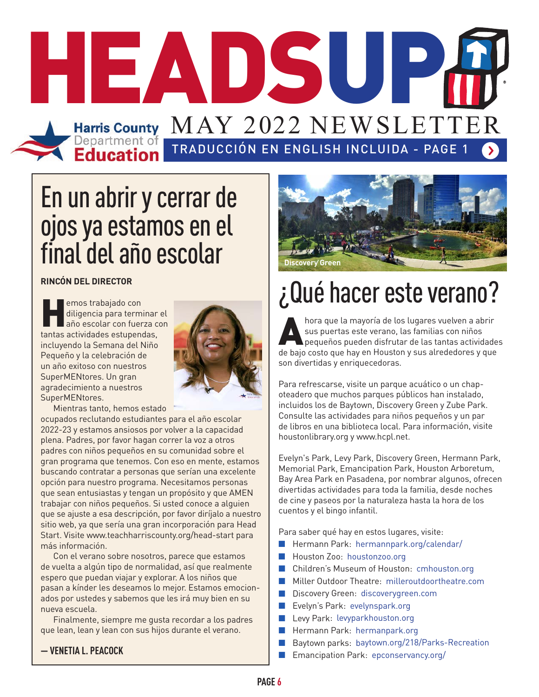# TRADUCCIÓN EN ENGLISH INCLUIDA - PAGE 1 HEADSUP Harris County MAY 2022 NEWSLE

# En un abrir y cerrar de ojos ya estamos en el final del año escolar

**RINCÓN DEL DIRECTOR** 

emos trabajado con<br>
diligencia para terminar<br>
año escolar con fuerza c<br>
tantas actividades estupendas, diligencia para terminar el año escolar con fuerza con incluyendo la Semana del Niño Pequeño y la celebración de un año exitoso con nuestros SuperMENtores. Un gran agradecimiento a nuestros SuperMENtores.



Mientras tanto, hemos estado

ocupados reclutando estudiantes para el año escolar 2022-23 y estamos ansiosos por volver a la capacidad plena. Padres, por favor hagan correr la voz a otros padres con niños pequeños en su comunidad sobre el gran programa que tenemos. Con eso en mente, estamos buscando contratar a personas que serían una excelente opción para nuestro programa. Necesitamos personas que sean entusiastas y tengan un propósito y que AMEN trabajar con niños pequeños. Si usted conoce a alguien que se ajuste a esa descripción, por favor diríjalo a nuestro sitio web, ya que sería una gran incorporación para Head Start. Visite www.teachharriscounty.org/head-start para más información.

 Con el verano sobre nosotros, parece que estamos de vuelta a algún tipo de normalidad, así que realmente espero que puedan viajar y explorar. A los niños que pasan a kínder les deseamos lo mejor. Estamos emocionados por ustedes y sabemos que les irá muy bien en su nueva escuela.

 Finalmente, siempre me gusta recordar a los padres que lean, lean y lean con sus hijos durante el verano.

**— VENETIA L. PEACOCK**



# ¿Qué hacer este verano?

hora que la mayoría de los lugares vuelven a abrir<br>sus puertas este verano, las familias con niños<br>pequeños pueden disfrutar de las tantas actividad sus puertas este verano, las familias con niños pequeños pueden disfrutar de las tantas actividades de bajo costo que hay en Houston y sus alrededores y que son divertidas y enriquecedoras.

Para refrescarse, visite un parque acuático o un chapoteadero que muchos parques públicos han instalado, incluidos los de Baytown, Discovery Green y Zube Park. Consulte las actividades para niños pequeños y un par de libros en una biblioteca local. Para información, visite houstonlibrary.org y www.hcpl.net.

Evelyn's Park, Levy Park, Discovery Green, Hermann Park, Memorial Park, Emancipation Park, Houston Arboretum, Bay Area Park en Pasadena, por nombrar algunos, ofrecen divertidas actividades para toda la familia, desde noches de cine y paseos por la naturaleza hasta la hora de los cuentos y el bingo infantil.

Para saber qué hay en estos lugares, visite:

- Hermann Park: hermannpark.org/calendar/
- Houston Zoo: houstonzoo.org
- n Children's Museum of Houston: cmhouston.org
- **n** Miller Outdoor Theatre: milleroutdoortheatre.com
- **n** Discovery Green: discoverygreen.com
- nEvelyn's Park: evelynspark.org
- Levy Park: levyparkhouston.org
- Hermann Park: hermanpark.org
- nBaytown parks: baytown.org/218/Parks-Recreation
- Emancipation Park: epconservancy.org/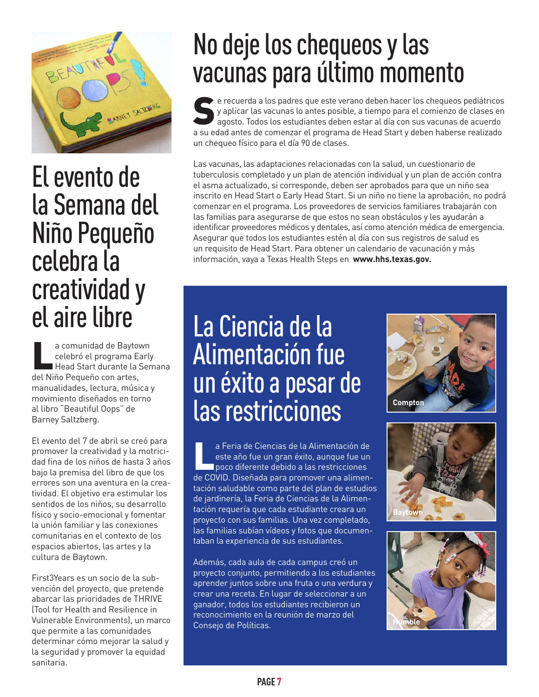

## El evento de la Semana del Niño Pequeño celebra la creatividad y el aire libre

el comunidad de Baytown<br>
celebró el programa Early<br>
Head Start durante la Ser<br>
del Niño Pequeño con artes, celebró el programa Early Head Start durante la Semana manualidades, lectura, música y movimiento diseñados en torno al libro "Beautiful Oops" de Barney Saltzberg.

El evento del 7 de abril se creó para promover la creatividad y la motricidad fina de los niños de hasta 3 años bajo la premisa del libro de que los errores son una aventura en la creatividad. El objetivo era estimular los sentidos de los niños, su desarrollo físico y socio-emocional y fomentar la unión familiar y las conexiones comunitarias en el contexto de los espacios abiertos, las artes y la cultura de Baytown.

First3Years es un socio de la subvención del proyecto, que pretende abarcar las prioridades de THRIVE (Tool for Health and Resilience in Vulnerable Environments), un marco que permite a las comunidades determinar cómo mejorar la salud y la seguridad y promover la equidad sanitaria.

# No deje los chequeos y las vacunas para último momento

Se recuerda a los padres que este verano deben hacer los chequeos pediátricos<br>y aplicar las vacunas lo antes posible, a tiempo para el comienzo de clases en<br>agosto. Todos los estudiantes deben estar al día con sus vacunas y aplicar las vacunas lo antes posible, a tiempo para el comienzo de clases en agosto. Todos los estudiantes deben estar al día con sus vacunas de acuerdo a su edad antes de comenzar el programa de Head Start y deben haberse realizado un chequeo físico para el día 90 de clases.

Las vacunas, las adaptaciones relacionadas con la salud, un cuestionario de tuberculosis completado y un plan de atención individual y un plan de acción contra el asma actualizado, si corresponde, deben ser aprobados para que un niño sea inscrito en Head Start o Early Head Start. Si un niño no tiene la aprobación, no podrá comenzar en el programa. Los proveedores de servicios familiares trabajarán con las familias para asegurarse de que estos no sean obstáculos y les ayudarán a identificar proveedores médicos y dentales, así como atención médica de emergencia. Asegurar que todos los estudiantes estén al día con sus registros de salud es un requisito de Head Start. Para obtener un calendario de vacunación y más información, vaya a Texas Health Steps en **www.hhs.texas.gov.**

# La Ciencia de la Alimentación fue un éxito a pesar de las restricciones

a Feria de Ciencias de la Alimentación de<br>este año fue un gran éxito, aunque fue un<br>poco diferente debido a las restricciones<br>de COVID. Diseñada para promover una alimen este año fue un gran éxito, aunque fue un poco diferente debido a las restricciones de COVID. Diseñada para promover una alimentación saludable como parte del plan de estudios de jardinería, la Feria de Ciencias de la Alimentación requería que cada estudiante creara un proyecto con sus familias. Una vez completado, las familias subían vídeos y fotos que documentaban la experiencia de sus estudiantes.

Además, cada aula de cada campus creó un proyecto conjunto, permitiendo a los estudiantes aprender juntos sobre una fruta o una verdura y crear una receta. En lugar de seleccionar a un ganador, todos los estudiantes recibieron un reconocimiento en la reunión de marzo del Consejo de Políticas.





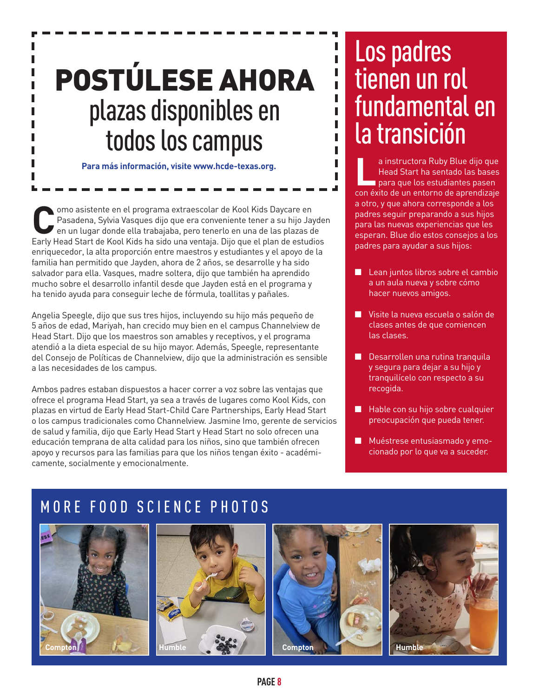# POSTÚLESE AHORA plazas disponibles en todos los campus

**Para más información, visite www.hcde-texas.org.**

**Como asistente en el programa extraescolar de Kool Kids Daycare en Pasadena, Sylvia Vasques dijo que era conveniente tener a su hijo Jaycare en una lugar donde ella trabajaba, pero tenerlo en una de las plazas de Early Ho** Pasadena, Sylvia Vasques dijo que era conveniente tener a su hijo Jayden Early Head Start de Kool Kids ha sido una ventaja. Dijo que el plan de estudios enriquecedor, la alta proporción entre maestros y estudiantes y el apoyo de la familia han permitido que Jayden, ahora de 2 años, se desarrolle y ha sido salvador para ella. Vasques, madre soltera, dijo que también ha aprendido mucho sobre el desarrollo infantil desde que Jayden está en el programa y ha tenido ayuda para conseguir leche de fórmula, toallitas y pañales.

Angelia Speegle, dijo que sus tres hijos, incluyendo su hijo más pequeño de 5 años de edad, Mariyah, han crecido muy bien en el campus Channelview de Head Start. Dijo que los maestros son amables y receptivos, y el programa atendió a la dieta especial de su hijo mayor. Además, Speegle, representante del Consejo de Políticas de Channelview, dijo que la administración es sensible a las necesidades de los campus.

Ambos padres estaban dispuestos a hacer correr a voz sobre las ventajas que ofrece el programa Head Start, ya sea a través de lugares como Kool Kids, con plazas en virtud de Early Head Start-Child Care Partnerships, Early Head Start o los campus tradicionales como Channelview. Jasmine Imo, gerente de servicios de salud y familia, dijo que Early Head Start y Head Start no solo ofrecen una educación temprana de alta calidad para los niños, sino que también ofrecen apoyo y recursos para las familias para que los niños tengan éxito - académicamente, socialmente y emocionalmente.

### Los padres tienen un rol fundamental en la transición

**L**a instructora Ruby Blue dijo que Head Start ha sentado las bases para que los estudiantes pasen con éxito de un entorno de aprendizaje a otro, y que ahora corresponde a los padres seguir preparando a sus hijos para las nuevas experiencias que les esperan. Blue dio estos consejos a los padres para ayudar a sus hijos:

- Lean juntos libros sobre el cambio a un aula nueva y sobre cómo hacer nuevos amigos.
- Visite la nueva escuela o salón de clases antes de que comiencen las clases.
- $\blacksquare$  Desarrollen una rutina tranquila y segura para dejar a su hijo y tranquilícelo con respecto a su recogida.
- $\blacksquare$  Hable con su hijo sobre cualquier preocupación que pueda tener.
- Muéstrese entusiasmado y emocionado por lo que va a suceder.







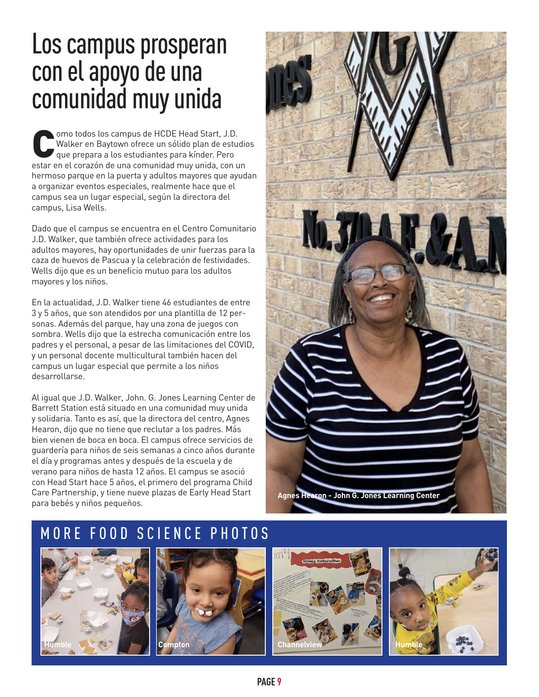### Los campus prosperan con el apoyo de una comunidad muy unida

omo todos los campus de HCDE Head Start, J.D.<br>Walker en Baytown ofrece un sólido plan de estudiantes para kínder. Pero<br>estar en el corazón de una comunidad muy unida con u Walker en Baytown ofrece un sólido plan de estudios que prepara a los estudiantes para kínder. Pero estar en el corazón de una comunidad muy unida, con un hermoso parque en la puerta y adultos mayores que ayudan a organizar eventos especiales, realmente hace que el campus sea un lugar especial, según la directora del campus, Lisa Wells.

Dado que el campus se encuentra en el Centro Comunitario J.D. Walker, que también ofrece actividades para los adultos mayores, hay oportunidades de unir fuerzas para la caza de huevos de Pascua y la celebración de festividades. Wells dijo que es un beneficio mutuo para los adultos mayores y los niños.

En la actualidad, J.D. Walker tiene 46 estudiantes de entre 3 y 5 años, que son atendidos por una plantilla de 12 personas. Además del parque, hay una zona de juegos con sombra. Wells dijo que la estrecha comunicación entre los padres y el personal, a pesar de las limitaciones del COVID, y un personal docente multicultural también hacen del campus un lugar especial que permite a los niños desarrollarse.

Al igual que J.D. Walker, John. G. Jones Learning Center de Barrett Station está situado en una comunidad muy unida y solidaria. Tanto es así, que la directora del centro, Agnes Hearon, dijo que no tiene que reclutar a los padres. Más bien vienen de boca en boca. El campus ofrece servicios de guardería para niños de seis semanas a cinco años durante el día y programas antes y después de la escuela y de verano para niños de hasta 12 años. El campus se asoció con Head Start hace 5 años, el primero del programa Child Care Partnership, y tiene nueve plazas de Early Head Start para bebés y niños pequeños.









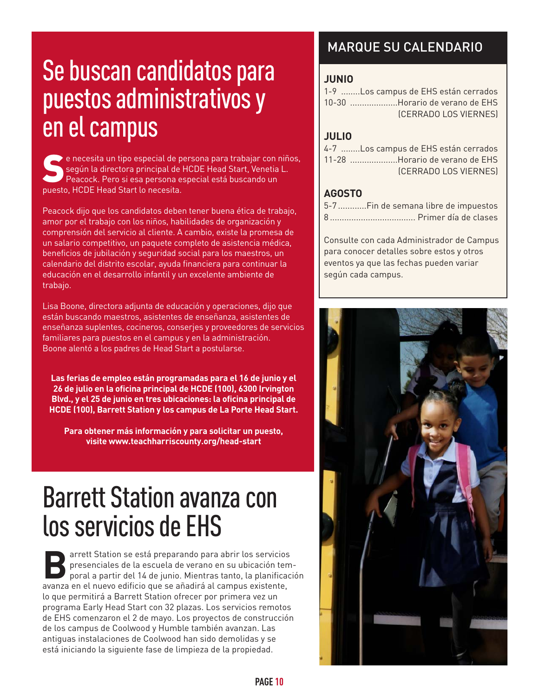# Se buscan candidatos para puestos administrativos y en el campus

 $\blacktriangleright$  e necesita un tipo especial de persona para trabajar con niños, según la directora principal de HCDE Head Start, Venetia L. Peacock. Pero si esa persona especial está buscando un puesto, HCDE Head Start lo necesita.

Peacock dijo que los candidatos deben tener buena ética de trabajo, amor por el trabajo con los niños, habilidades de organización y comprensión del servicio al cliente. A cambio, existe la promesa de un salario competitivo, un paquete completo de asistencia médica, beneficios de jubilación y seguridad social para los maestros, un calendario del distrito escolar, ayuda financiera para continuar la educación en el desarrollo infantil y un excelente ambiente de trabajo.

Lisa Boone, directora adjunta de educación y operaciones, dijo que están buscando maestros, asistentes de enseñanza, asistentes de enseñanza suplentes, cocineros, conserjes y proveedores de servicios familiares para puestos en el campus y en la administración. Boone alentó a los padres de Head Start a postularse.

**Las ferias de empleo están programadas para el 16 de junio y el 26 de julio en la oficina principal de HCDE (100), 6300 Irvington Blvd., y el 25 de junio en tres ubicaciones: la oficina principal de HCDE (100), Barrett Station y los campus de La Porte Head Start.**

**Para obtener más información y para solicitar un puesto, visite www.teachharriscounty.org/head-start**

## Barrett Station avanza con los servicios de EHS

**Barrett Station se está preparando para abrir los servicios presenciales de la escuela de verano en su ubicación tem<br>poral a partir del 14 de junio. Mientras tanto, la planifica<br>avanza en el nuevo edificio que se añadirá** presenciales de la escuela de verano en su ubicación temporal a partir del 14 de junio. Mientras tanto, la planificación avanza en el nuevo edificio que se añadirá al campus existente, lo que permitirá a Barrett Station ofrecer por primera vez un programa Early Head Start con 32 plazas. Los servicios remotos de EHS comenzaron el 2 de mayo. Los proyectos de construcción de los campus de Coolwood y Humble también avanzan. Las antiguas instalaciones de Coolwood han sido demolidas y se está iniciando la siguiente fase de limpieza de la propiedad.

### MARQUE SU CALENDARIO

#### **JUNIO**

| 1-9 Los campus de EHS están cerrados |
|--------------------------------------|
| 10-30 Horario de verano de EHS       |
| (CERRADO LOS VIERNES)                |

### **JULIO**

| 4-7 Los campus de EHS están cerrados |
|--------------------------------------|
| 11-28 Horario de verano de EHS       |
| (CERRADO LOS VIERNES)                |

### **AGOSTO**

| 5-7Fin de semana libre de impuestos |
|-------------------------------------|
|                                     |

Consulte con cada Administrador de Campus para conocer detalles sobre estos y otros eventos ya que las fechas pueden variar según cada campus.